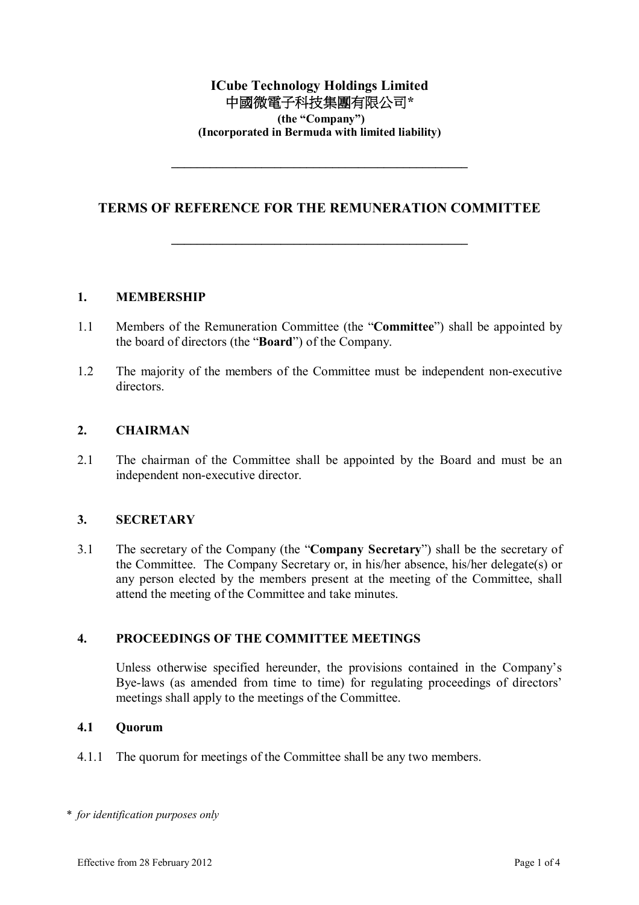# **ICube Technology Holdings Limited** 中國微電子科技集團有限公司**\* (the "Company") (Incorporated in Bermuda with limited liability)**

# **TERMS OF REFERENCE FOR THE REMUNERATION COMMITTEE**

**\_\_\_\_\_\_\_\_\_\_\_\_\_\_\_\_\_\_\_\_\_\_\_\_\_\_\_\_\_\_\_\_\_\_\_\_\_\_\_\_\_\_\_\_\_\_**

**\_\_\_\_\_\_\_\_\_\_\_\_\_\_\_\_\_\_\_\_\_\_\_\_\_\_\_\_\_\_\_\_\_\_\_\_\_\_\_\_\_\_\_\_\_\_**

#### **1. MEMBERSHIP**

- 1.1 Members of the Remuneration Committee (the "**Committee**") shall be appointed by the board of directors (the "**Board**") of the Company.
- 1.2 The majority of the members of the Committee must be independent non-executive directors.

#### **2. CHAIRMAN**

2.1 The chairman of the Committee shall be appointed by the Board and must be an independent non-executive director.

#### **3. SECRETARY**

3.1 The secretary of the Company (the "**Company Secretary**") shall be the secretary of the Committee. The Company Secretary or, in his/her absence, his/her delegate(s) or any person elected by the members present at the meeting of the Committee, shall attend the meeting of the Committee and take minutes.

#### **4. PROCEEDINGS OF THE COMMITTEE MEETINGS**

Unless otherwise specified hereunder, the provisions contained in the Company's Bye-laws (as amended from time to time) for regulating proceedings of directors' meetings shall apply to the meetings of the Committee.

#### **4.1 Quorum**

4.1.1 The quorum for meetings of the Committee shall be any two members.

*\* for identification purposes only*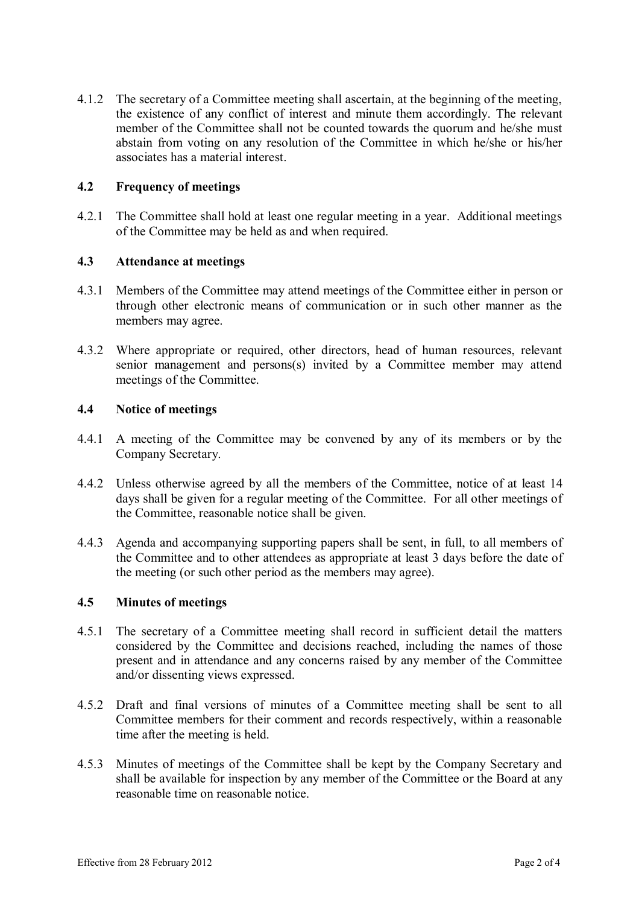4.1.2 The secretary of a Committee meeting shall ascertain, at the beginning of the meeting, the existence of any conflict of interest and minute them accordingly. The relevant member of the Committee shall not be counted towards the quorum and he/she must abstain from voting on any resolution of the Committee in which he/she or his/her associates has a material interest.

## **4.2 Frequency of meetings**

4.2.1 The Committee shall hold at least one regular meeting in a year. Additional meetings of the Committee may be held as and when required.

#### **4.3 Attendance at meetings**

- 4.3.1 Members of the Committee may attend meetings of the Committee either in person or through other electronic means of communication or in such other manner as the members may agree.
- 4.3.2 Where appropriate or required, other directors, head of human resources, relevant senior management and persons(s) invited by a Committee member may attend meetings of the Committee.

#### **4.4 Notice of meetings**

- 4.4.1 A meeting of the Committee may be convened by any of its members or by the Company Secretary.
- 4.4.2 Unless otherwise agreed by all the members of the Committee, notice of at least 14 days shall be given for a regular meeting of the Committee. For all other meetings of the Committee, reasonable notice shall be given.
- 4.4.3 Agenda and accompanying supporting papers shall be sent, in full, to all members of the Committee and to other attendees as appropriate at least 3 days before the date of the meeting (or such other period as the members may agree).

#### **4.5 Minutes of meetings**

- 4.5.1 The secretary of a Committee meeting shall record in sufficient detail the matters considered by the Committee and decisions reached, including the names of those present and in attendance and any concerns raised by any member of the Committee and/or dissenting views expressed.
- 4.5.2 Draft and final versions of minutes of a Committee meeting shall be sent to all Committee members for their comment and records respectively, within a reasonable time after the meeting is held.
- 4.5.3 Minutes of meetings of the Committee shall be kept by the Company Secretary and shall be available for inspection by any member of the Committee or the Board at any reasonable time on reasonable notice.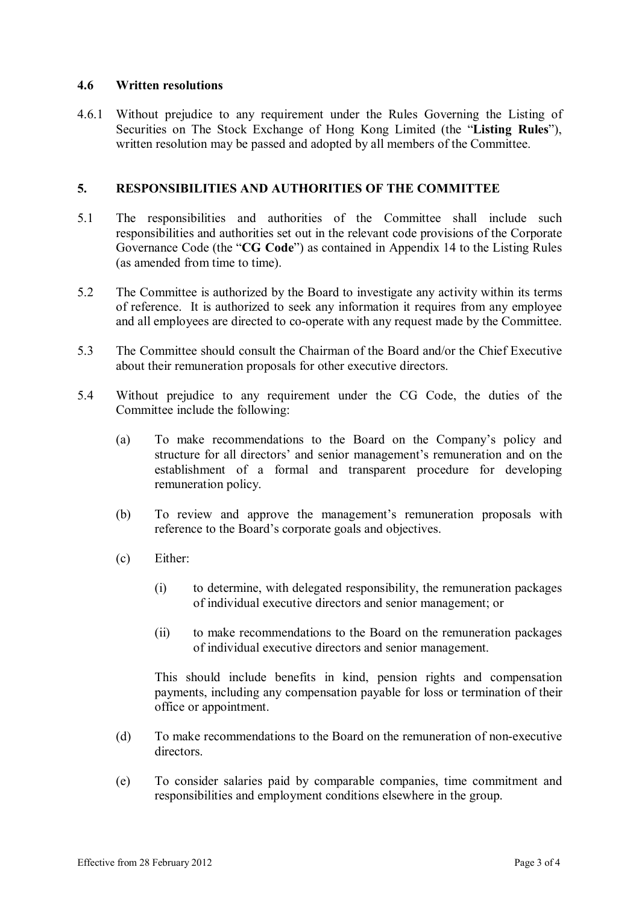### **4.6 Written resolutions**

4.6.1 Without prejudice to any requirement under the Rules Governing the Listing of Securities on The Stock Exchange of Hong Kong Limited (the "**Listing Rules**"), written resolution may be passed and adopted by all members of the Committee.

### **5. RESPONSIBILITIES AND AUTHORITIES OF THE COMMITTEE**

- 5.1 The responsibilities and authorities of the Committee shall include such responsibilities and authorities set out in the relevant code provisions of the Corporate Governance Code (the "**CG Code**") as contained in Appendix 14 to the Listing Rules (as amended from time to time).
- 5.2 The Committee is authorized by the Board to investigate any activity within its terms of reference. It is authorized to seek any information it requires from any employee and all employees are directed to co-operate with any request made by the Committee.
- 5.3 The Committee should consult the Chairman of the Board and/or the Chief Executive about their remuneration proposals for other executive directors.
- 5.4 Without prejudice to any requirement under the CG Code, the duties of the Committee include the following:
	- (a) To make recommendations to the Board on the Company's policy and structure for all directors' and senior management's remuneration and on the establishment of a formal and transparent procedure for developing remuneration policy.
	- (b) To review and approve the management's remuneration proposals with reference to the Board's corporate goals and objectives.
	- (c) Either:
		- (i) to determine, with delegated responsibility, the remuneration packages of individual executive directors and senior management; or
		- (ii) to make recommendations to the Board on the remuneration packages of individual executive directors and senior management.

This should include benefits in kind, pension rights and compensation payments, including any compensation payable for loss or termination of their office or appointment.

- (d) To make recommendations to the Board on the remuneration of non-executive directors.
- (e) To consider salaries paid by comparable companies, time commitment and responsibilities and employment conditions elsewhere in the group.